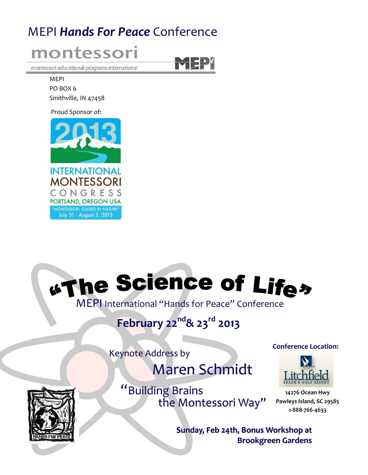# MEPI Hands For Peace Conference



MEPI PO BOX 6 Smithville, IN 47458

Proud Sponsor of:



# **"The Science of Lifes"**

MEPI International "Hands for Peace" Conference

February 22<sup>nd</sup>& 23<sup>rd</sup> 2013

Keynote Address by

Maren Schmidt



"Building Brains the Montessori Way" Conference Location:



14276 Ocean Hwy Pawleys Island, SC 29585 1-888-766-4633

Sunday, Feb 24th, Bonus Workshop at Brookgreen Gardens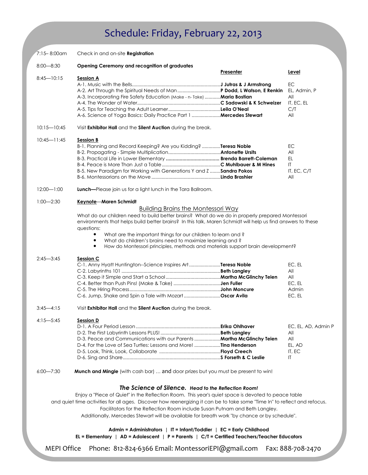# Schedule: Friday, February 22, 2013

| 7:15–8:00am     | Check in and on-site <b>Registration</b>                                                                                                                   |           |                     |
|-----------------|------------------------------------------------------------------------------------------------------------------------------------------------------------|-----------|---------------------|
| $8:00 - 8:30$   | Opening Ceremony and recognition of graduates                                                                                                              |           |                     |
|                 |                                                                                                                                                            | Presenter | Level               |
| $8:45 - 10:15$  | <b>Session A</b>                                                                                                                                           |           |                     |
|                 |                                                                                                                                                            |           | EC                  |
|                 |                                                                                                                                                            |           | EL, Admin, P        |
|                 | A-3. Incorporating Fire Safety Education (Make - n- Take)  Maria Bostian                                                                                   |           | All                 |
|                 |                                                                                                                                                            |           | IT, EC, EL          |
|                 |                                                                                                                                                            |           | C/T                 |
|                 | A-6. Science of Yoga Basics: Daily Practice Part 1 <b>Mercedes Stewart</b>                                                                                 |           | All                 |
| $10:15 - 10:45$ | Visit Exhibitor Hall and the Silent Auction during the break.                                                                                              |           |                     |
| $10:45 - 11:45$ | <b>Session B</b>                                                                                                                                           |           |                     |
|                 | B-1. Planning and Record Keeping? Are you Kidding? Teresa Noble                                                                                            |           | EC                  |
|                 |                                                                                                                                                            |           | All                 |
|                 |                                                                                                                                                            |           | EL.                 |
|                 | B-5. New Paradigm for Working with Generations Y and Z  Sandra Pokos                                                                                       |           | IT<br>IT, EC, C/T   |
|                 |                                                                                                                                                            |           | All                 |
|                 |                                                                                                                                                            |           |                     |
| $12:00 - 1:00$  | <b>Lunch</b> —Please join us for a light lunch in the Tara Ballroom.                                                                                       |           |                     |
| $1:00 - 2:30$   | Keynote-Maren Schmidt                                                                                                                                      |           |                     |
|                 | <b>Building Brains the Montessori Way</b>                                                                                                                  |           |                     |
|                 | What do our children need to build better brains? What do we do in properly prepared Montessori                                                            |           |                     |
|                 | environments that helps build better brains? In this talk, Maren Schmidt will help us find answers to these                                                |           |                     |
|                 | questions:                                                                                                                                                 |           |                     |
|                 | What are the important things for our children to learn and?                                                                                               |           |                     |
|                 | What do children's brains need to maximize learning and ?<br>٠                                                                                             |           |                     |
|                 | How do Montessori principles, methods and materials support brain development?                                                                             |           |                     |
| $2:45 - 3:45$   | Session C                                                                                                                                                  |           |                     |
|                 | C-1. Anny Hyatt Huntington-Science Inspires ArtTeresa Noble                                                                                                |           | EC, EL              |
|                 |                                                                                                                                                            |           | All                 |
|                 |                                                                                                                                                            |           | All                 |
|                 |                                                                                                                                                            |           | EC, EL              |
|                 |                                                                                                                                                            |           | Admin               |
|                 | C-6. Jump, Shake and Spin a Tale with Mozart Oscar Avila                                                                                                   |           | EC, EL              |
| $3:45 - 4:15$   | Visit Exhibitor Hall and the Silent Auction during the break.                                                                                              |           |                     |
| $4:15 - 5:45$   | Session D                                                                                                                                                  |           |                     |
|                 |                                                                                                                                                            |           | EC, EL, AD, Admin P |
|                 |                                                                                                                                                            |           | All                 |
|                 | D-3. Peace and Communications with our Parents  Martha McGlinchy Teien                                                                                     |           | All                 |
|                 |                                                                                                                                                            |           | EL, AD              |
|                 |                                                                                                                                                            |           | IT, EC              |
|                 |                                                                                                                                                            |           | IT.                 |
| $6:00 - 7:30$   | Munch and Mingle (with cash bar)  and door prizes but you must be present to win!                                                                          |           |                     |
|                 |                                                                                                                                                            |           |                     |
|                 | The Science of Silence. Head to the Reflection Room!<br>Enjoy a "Piece of Quiet" in the Reflection Room. This year's quiet space is devoted to peace table |           |                     |
|                 | and quiet time activities for all ages. Discover how reenergizing it can be to take some "Time In" to reflect and refocus.                                 |           |                     |
|                 |                                                                                                                                                            |           |                     |
|                 | Facilitators for the Reflection Room include Susan Putnam and Beth Langley.                                                                                |           |                     |
|                 | Additionally, Mercedes Stewart will be available for breath work "by chance or by schedule".                                                               |           |                     |
|                 | Admin = Administrators   IT = Infant/Toddler   EC = Early Childhood                                                                                        |           |                     |
|                 | EL = Elementary   AD = Adolescent   P = Parents   $C/T$ = Certified Teachers/Teacher Educators                                                             |           |                     |

MEPI Office Phone: 812-824-6366 Email: MontessoriEPI@gmail.com Fax: 888-708-2470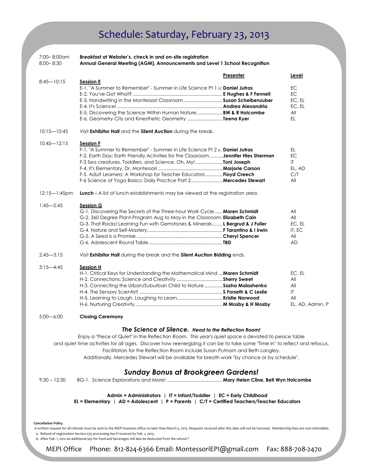## Schedule: Saturday, February 23, 2013

| 7:00-8:00am<br>$8:00 - 8:30$ | Breakfast at Webster's, check in and on-site registration<br>Annual General Meeting (AGM), Announcements and Level 1 School Recognition                                                                                                                                                                                                                                                                                                                                 |           |                                                       |
|------------------------------|-------------------------------------------------------------------------------------------------------------------------------------------------------------------------------------------------------------------------------------------------------------------------------------------------------------------------------------------------------------------------------------------------------------------------------------------------------------------------|-----------|-------------------------------------------------------|
|                              |                                                                                                                                                                                                                                                                                                                                                                                                                                                                         | Presenter | Level                                                 |
| $8:45 - 10:15$               | <b>Session E</b><br>E-1, "A Summer to Remember" - Summer in Life Science Pt 1 Fc <b>Daniel Jutras</b><br>E-3. Handwriting in the Montessori Classroom  Susan Scheibenzuber<br>E-5. Discovering the Science Within Human Nature BW & R Holcombe<br>E-6. Geometry City and Kinesthetic Geometry Teena Kyer                                                                                                                                                                |           | EC<br>EC<br>EC, EL<br>EC, EL<br>All<br>EL.            |
| $10:15 - 10:45$              | Visit Exhibitor Hall and the Silent Auction during the break.                                                                                                                                                                                                                                                                                                                                                                                                           |           |                                                       |
| $10:45 - 12:15$              | <b>Session F</b><br>F-1, "A Summer to Remember" - Summer in Life Science Pt 2 $_{\rm EL}$ <b>Daniel Jutras</b><br>F-2. Earth Day: Earth Friendly Activities for the Classroom Jennifer Hles Sherman<br>F-3 Sea creatures, Toddlers, and Science, Oh, My! <b>Toni Joseph</b><br>F-5. Adult Learners: A Workshop for Teacher Educators Floyd Creech<br>F-6 Science of Yoga Basics: Daily Practice Part 2 Mercedes Stewart                                                 |           | EL.<br>EC<br>IT<br>EL, AD<br>C/T<br>All               |
| $12:15 - 1:45$ pm            | <b>Lunch</b> - A list of lunch establishments may be viewed at the registration area.                                                                                                                                                                                                                                                                                                                                                                                   |           |                                                       |
| $1:45 - 2:45$                | <b>Session G</b><br>G-1. Discovering the Secrets of the Three-hour Work Cycle Maren Schmidt<br>G-2. 360 Degree Plant-Program Aug to May in the Classroom. Elizabeth Cain<br>G-3. That Rocks! Learning Fun with Gemstones & Minerals L Bergrud & J Fuller                                                                                                                                                                                                                |           | All<br>All<br>EC, EL<br>IT, EC<br>All<br><b>AD</b>    |
| $2:45 - 3:15$                | Visit Exhibitor Hall during the break and the Silent Auction Bidding ends.                                                                                                                                                                                                                                                                                                                                                                                              |           |                                                       |
| $3:15 - 4:45$                | <b>Session H</b><br>H-1. Critical Keys for Understanding the Mathematical Mind  Maren Schmidt<br>H-3. Connecting the Urban/Suburban Child to Nature Sasha Malashenko                                                                                                                                                                                                                                                                                                    |           | EC, EL<br>All<br>All<br>IT<br>All<br>EL, AD, Admin, P |
| $5:00 - 6:00$                | <b>Closing Ceremony</b>                                                                                                                                                                                                                                                                                                                                                                                                                                                 |           |                                                       |
|                              | The Science of Silence. Head to the Reflection Room!<br>Enjoy a "Piece of Quiet" in the Reflection Room. This year's quiet space is devoted to peace table<br>and quiet time activities for all ages. Discover how reenergizing it can be to take some "Time In" to reflect and refocus.<br>Facilitators for the Reflection Room include Susan Putnam and Beth Langley.<br>Additionally, Mercedes Stewart will be available for breath work "by chance or by schedule". |           |                                                       |
| $9:30 - 12:30$               | <b>Sunday Bonus at Brookgreen Gardens!</b>                                                                                                                                                                                                                                                                                                                                                                                                                              |           |                                                       |

Admin = Administrators | IT = Infant/Toddler | EC = Early Childhood

EL = Elementary | AD = Adolescent | P = Parents | C/T = Certified Teachers/Teacher Educators

#### Cancellation Policy

 A written request for all refunds must be sent to the MEPI business office no later than March 5, 2013. Requests received after this date will not be honored. Membership fees are non-refundable. a. Refund of registration fee less \$35 processing fee if received by Feb. 1, 2013.

b. After Feb. 1, 2012 an additional \$45 for food and beverages will also be deducted from the refund."

MEPI Office Phone: 812-824-6366 Email: MontessoriEPI@gmail.com Fax: 888-708-2470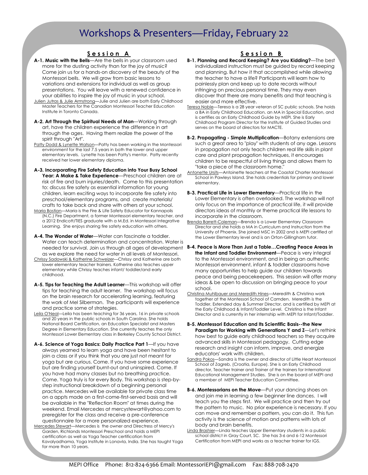### Workshops & Presenters—Friday, February 22

### Session A

- A-1. Music with the Bells-Are the bells in your classroom used more for the dusting activity than for the joy of music? Come join us for a hands-on discovery of the beauty of the Montessori bells. We will grow from basic lessons to variations and extensions for individual as well as group presentations. You will leave with a renewed confidence in your abilities to inspire the joy of music in your school.
- Julien Jutras & Julie Armstrong-Julie and Julien are both Early Childhood Master Teachers for the Canadian Montessori Teacher Education Institute in Toronto Canada.
- A-2. Art Through the Spiritual Needs of Man-Working through art, have the children experience the difference in art through the ages. Having them realize the power of the spirit through "Art".
- Patty Dodd & Lynette Watson-Patty has been working in the Montessori environment for the last 7.5 years in both the lower and upper elementary levels. Lynette has been Patty's mentor. Patty recently received her lower elementary diploma.
- A-3. Incorporating Fire Safety Education into Your Busy School Year: A Make & Take Experience—Preschool children are at risk of fire and burn injuries/death. Come to this presentation to: discuss fire safety as essential information for young children, learn exciting ways to incorporate fire safety into preschool/elementary programs, and create materials/ crafts to take back and share with others at your school.
- Maria Bostian—Maria is the Fire & Life Safety Educator for Kannapolis (N.C.) Fire Department, a former Montessori elementary teacher, and a 2012 Endicott/TIES graduate with a M.Ed. in Montessori Integrative Learning. She enjoys sharing fire safety education with others.
- A-4. The Wonder of Water-Water can fascinate a toddler. Water can teach determination and concentration. Water is needed for survival. Join us through all ages of development as we explore the need for water in all levels of Montessori.
- Chrissy Sadowski & Katherine Schweizer—Chrissy and Katherine are both lower elementary teacher trainers. Katherine also teaches upper elementary while Chrissy teaches infant/ toddler/and early childhood.
- A-5. Tips for Teaching the Adult Learner—This workshop will offer tips for teaching the adult learner. The workshop will focus on the brain research for accelerating learning, featuring the work of Mel Silberman. The participants will experience and practice some of strategies.
- Leila O'Neal—Leila has been teaching for 36 years, 16 in private schools and 20 years in the public schools in South Carolina. She holds National Board Certification, an Education Specialist and Masters Degree in Elementary Education. She currently teaches the only Montessori Lower Elementary class in Berkeley County School District.
- A-6. Science of Yoga Basics: Daily Practice Part 1-If you have always yearned to learn yoga and have been hesitant to join a class or if you think that you are just not meant for yoga but are curious. Come. If you have some experience but are finding yourself burnt-out and uninspired. Come. If you have had many classes but no breathing practice. Come. Yoga truly is for every Body. This workshop is step-bystep instructional breakdown of a beginning personal practice. Mercedes will be available for private class time on a appts made on a first-come-first-served basis and will be available in the "Reflection Room" at times during the weekend. Email Mercedes at mercystewart@yahoo.com to preregister for the class and receive a pre-conference questionnaire for a more personalized experience.
- Mercedes Stewart—Mercedes is the owner and Directress of Mercy's Garden, Richlands Montessori Preschool and holds a MEPI certification as well as Yoga Teacher certification from Kavalyadhama, Yoga Institute in Lonavla, India. She has taught Yoga for more than 10 years.

### Session B

- B-1. Planning and Record Keeping? Are you Kidding?—The best individualized instruction must be guided by record keeping and planning. But how it that accomplished while allowing the teacher to have a life? Participants will learn how to painlessly plan and keep up to date records without infringing on precious personal time. They may even discover that there are many benefits and that teaching is easier and more effective.
- Teresa Noble—Teresa is a 28 year veteran of SC public schools. She holds a BA in Early Childhood Education, an MA in Special Education, and is certifies as an Early Childhood Guide by MEPI. She is Early Childhood Program Director for the Institute of Guided Studies and serves on the board of directors for MACTE.
- **B-2. Propagating Simple Multiplication**—Botany extensions are such a great area to "play" with students of any age. Lessons in propagation not only teach children real life skills in plant care and plant propagation techniques, it encourages children to be respectful of living things and allows them to "take a piece of the classroom home."
- Antonette Ursits—Antoinette teachers at the Coastal Charter Montessori School in Pawleys Island. She holds credentials for primary and lower elementary.
- B-3. Practical Life in Lower Elementary—Practical life in the Lower Elementary is often overlooked. The workshop will not only focus on the importance of practical life, it will provide directors ideas of monthly or theme practical life lessons to incorporate in the classroom.
- Brenda Barrett-Coleman—Brenda is a Lower Elementary Classroom Director and she holds a MA in Curriculum and Instruction from the University of Phoenix. She joined MSC in 2002 and is MEPI certified at the Lower Elementary level and is an Orton-Gillingham tutor.
- B-4. Peace is More Than Just a Table…Creating Peace Areas in the Infant and Toddler Environment—Peace is very integral to the Montessori environment, and in being an authentic Montessori environment, infant & toddler classrooms have many opportunities to help guide our children towards peace and being peacekeepers. This session will offer many ideas & be open to discussion on bringing peace to your school.
- Christina Muhlbauer and Meredith Hines—Meredith & Christina work together at the Montessori School of Camden. Meredith is the Toddler, Extended day & Summer Director, and is certified by MEPI at the Early Childhood & Infant/Toddler Level. Christina is the Infant Director and is currently in her internship with MEPI for Infant/Toddler.
- B-5. Montessori Education and Its Scientific Basis--the New Paradigm for Working with Generations Y and Z-Let's rethink how best to guide early childhood teachers so they acquire advanced skills in Montessori pedagogy. Cutting edge research and insight can inform, improve, and energize educators' work with children.
- Sandra Pokos—Sandra is the owner and director of Little Heart Montessori School of Zagreb, (Croatia, Europe). She is an Early Childhood director, Teacher trainer and Trainer of the trainers for International Educational Management Studies. She is on the board of MEPI and a member of MEPI Teacher Education Committee.
- **B-6. Montessorians on the Move**—Put your dancing shoes on and join me in learning a few beginner line dances. I will teach you the steps first. We will practice and then try out the pattern to music. No prior experience is necessary. If you can move and remember a pattern, you can do it. This fun activity is the science of motion and patterns with lots of body and brain benefits.
- Linda Brashier—Linda teaches Upper Elementary students in a public school district in Gray Court, SC. She has 3-6 and 6-12 Montessori Certification from MEPI and works as a teacher trainer for IGS.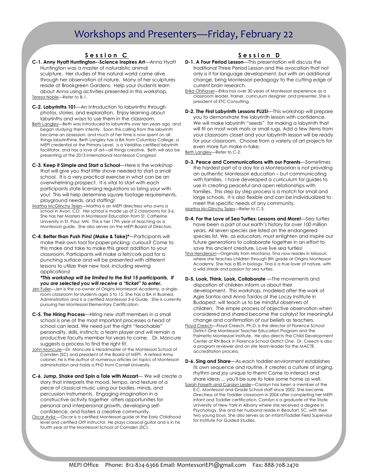### Workshops and Presenters—Friday, February 22

### Session C

- C-1. Anny Hyatt Huntington--Science Inspires Art—Anna Hyatt Huntington was a master of naturalistic animal sculpture. Her studies of the natural world came alive through her observation of nature. Many of her sculptures reside at Brookgreen Gardens. Help your students learn about Anna using activities presented in this workshop. Teresa Noble—Refer to B-1.
- C-2. Labyrinths 101—An Introduction to labyrinths through photos, stories, and exploration. Enjoy learning about labyrinths and ways to use them in the classroom.
- Beth Langley-Beth was introduced to labyrinths over ten years ago, and began studying them intently. Soon this calling from the labyrinth became an obsession, and much of her time is now spent on all things labyrinthine. Beth Langley has a BA from Columbia College, a MEPI credential at the Primary Level, is a Veriditas certified labyrinth facilitator, and has a love of art—all things creative. Beth will also be presenting at the 2013 International Montessori Congress!
- C-3. Keep it Simple and Start a School—Here is the workshop that will give you that little shove needed to start a small school. It is a very practical exercise in what can be an overwhelming prospect. It is vital to start with each participants state licensing regulations so bring your with you! This will help determine square footage requirements, playground needs, and staffing!
- Martha McGlinchy Teien—Martha is an MEPI directress who owns a school in Avon, CO. Her school is made up of 2 classrooms for 3-6. She has her Masters in Montessori Education from St. Catherine University in St. Paul, MN. This is her 17th year of teaching as a Montessori guide. She also serves on the MEPI Board of Directors.
- C-4. Better than Push Pins! (Make & Take)\*—Participants will make their own tool for paper pricking; curious? Come to this make and take to make this great addition to your classroom. Participants will make a felt/cork pad for a punching surface and will be presented with different lessons to utilize their new tool, including sewing applications!

\*This workshop will be limited to the first 15 participants. If you are selected you will receive a "ticket" to enter.

- Jen Fuller-Jen is the co-owner of Origins Montessori Academy, a singleroom classroom for students ages 5 to 15. She has a BA in Business Administration and is a certified Montessori 3-6 Guide. She is currently pursuing her Montessori Elementary Certification.
- C-5. The Hiring Process—Hiring new staff members in a small school is one of the most important processes a head of school can lead. We need just the right "teachable" personality, skills, instincts; a team player and will remain a productive faculty member for years to come. Dr. Moncure suggests a process to find the right fit.
- John Moncure—Dr. Moncure is Headmaster of the Montessori School of Camden (SC) and president of the Board of MEPI. A retired Army colonel, he is the author of numerous articles on topics of Montessori administration and holds a PhD from Cornell University.
- C-6. Jump, Shake and Spin a Tale with Mozart— We will create a story that interprets the mood, tempo, and texture of a piece of classical music using our bodies, minds, and percussion instruments. Engaging imagination in a constructive activity together offers opportunities for personal and interpersonal growth, developing selfconfidence, and fosters a creative community.
- Oscar Avila Oscar is a certified Montessori guide at the Early Childhood level and certified Orff instructor. He plays classical guitar and is in his fourth year at the Montessori School of Camden (SC).

### Session D

- **D-1. A Four Period Lesson**—This presentation will discuss the traditional Three Period Lesson and the avocation that not only is it for language development, but with an additional change, bring Montessori pedagogy to the cutting edge of current brain research.
- Erika Ohlhaver—Erika has over 30 years of Montessori experience as a classroom leader, trainer, curriculum designer, and presenter. She is president of ETC Consulting.
- D-2. The First Labyrinth Lessons PLUS!-- This workshop will prepare you to demonstrate the labyrinth lesson with confidence. We will make labyrinth "seeds" for making a labyrinth that will fit on most work mats or small rugs. Add a few items from your classroom closet and your labyrinth lesson will be ready for your classroom. Choose from a variety of art projects for even more fun make-n-take.

Beth Langley—Refer to C-2.

- D-3. Peace and Communications with our Parents—Sometimes the hardest part of a day for a Montessorian is not providing an authentic Montessori education – but communicating with families. I have developed a curriculum for guides to use in creating peaceful and open relationships with families. This step by step process is a match for small and large schools. It is also flexible and can be individualized to meet the specific needs of any community. Martha McGlinchy Teien-Refer to C-3.
- D-4. For the Love of Sea Turtles: Lessons and More!-Sea turtles have been a part of our earth's history for over 100 million years. All seven species are listed on the endangered species list. We, as educators, must enlighten and inspire our future generations to collaborate together in an effort to save this ancient creature. Love live sea turtles!
- Tina Henderson-Originally from Montana, Tina now resides in Missouri, where she teaches children through 8th grade at Origins Montessori Academy. She has a BS in biology. Tina is a true lover of nature, with a wild streak and passion for sea turtles.
- D-5. Look, Think, Look, Collaborate —The movements and disposition of children inform us about their development. This workshop, modeled after the work of Agie Santos and Anna Tardos at the Loczy Institute in Budapest, will teach us to be mindful observers of children. The simple process of objective observation when considered and shared become the catalyst for meaningful change and confirmation of our beliefs as teachers.
- Floyd Creech-Floyd Creech, Ph.D. is the director of Florence School District One Montessori Teacher Education Program and the Palmetto Montessori Institute. He also directs the Child Development Center at RN Beck in Florence School District One. Dr. Creech is also a program reviewer and on site team leader for the MACTE accreditation process.
- D-6. Sing and Share-As each toddler environment establishes its own sequence and routine, it creates a culture of singing, rhythm and joy unique to them! Come to interact and share ideas ... you'll be sure to take some home as well.
- Sarah Forseth and Carolyn Leslie-Carolyn has been a member of the E.C. Montessori and Grade School staff since 2002. She became Directress of the Toddler classroom in 2004 after completing her MEPI Infant and Toddler certification. Carolyn is a graduate of the State University of New York in Albany where she received a degree in Psychology. She and her husband reside in Beaufort, SC, with their two young boys. She also serves as an Infant/Toddler Field Supervisor for Institute For Guided Studies.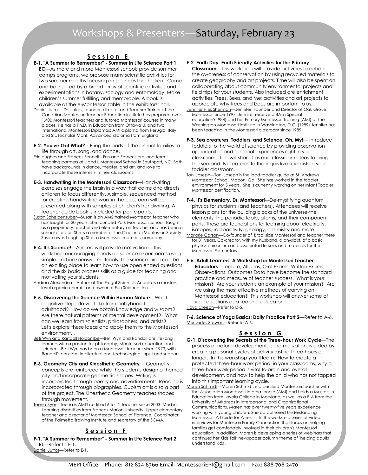### Session E

- E-1. "A Summer to Remember" Summer in Life Science Part 1 EC—As more and more Montessori schools provide summer camps programs, we propose many scientific activities for two summer months focusing on sciences for children. Come and be inspired by a broad array of scientific activities and experimentations in botany, zoology and entomology, Make children's summer fulfilling and memorable. A book is available at the e-Montessori table in the exhibitors' hall.
- Daniel Jutras—Dr. Jutras, founder, director and Teacher Trainer at the Canadian Montessori Teacher Education Institute has prepared over 1,400 Montessori teachers and tutored Montessori courses in many places. He has a Ph.D. in Education from Ottawa U. and two international Montessori Diplomas: AMI diploma from Perugia, Italy and St,. Nicholas Mont. Advanced diploma from England.
- E-2. You've Got What?—Bring the parts of the animal families to life through art, song, and dance.
- Erin Hughes and Frances Fennell—Erin and Frances are long term teaching partners at L and L Montessori School in Southport, NC. Both have backgrounds in dance, theater, and art, and love to incorporate these interests in their classrooms.
- E-3. Handwriting in the Montessori Classroom—Handwriting exercises engage the brain in a way that calms and directs children to focus differently. A simple, sequenced method for creating handwriting work in the classroom will be presented along with samples of children's handwriting. A teacher guide book is included for participants.
- Susan Scheibenzuber—Susan is an AMS trained Montessori teacher who has taught for 30 years. She founded Park Montessori School, taught as a preprimary teacher and elementary art teacher and has been a school director. She is a member of the Cincinnati Montessori Society. Susan owns Laughing Star, a Montessori materials company.
- E-4. It's Science!—Andrea will provide motivation in this workshop encouraging hands on science experiments using simple and inexpensive materials. The science area can be an exciting place to learn how to use open ended questions and the six basic process skills as a guide for teaching and motivating your students.
- Andrea Alexandria—Author of The Frugal Scientist, Andrea is a masters level organic chemist and owner of Fun Science, Inc.
- E-5. Discovering the Science Within Human Nature—What cognitive steps do we take from babyhood to adulthood? How do we obtain knowledge and wisdom? Are there natural patterns of mental development? What can we learn from scientists, philosophers, and artists? Let's explore these ideas and apply them to the Montessori environment. .
- Beti Wyn and Randall Holcombe—Beti Wyn and Randall are life-long learners with a passion for philosophy, Montessori education and science. Beti Wyn has been a Montessori teacher since 1973, with Randall's constant intellectual and technological input and support.
- E-6. Geometry City and Kinesthetic Geometry —Geometry concepts are reinforced while the students design a themed city and incorporate geometric shapes. Writing is incorporated through poetry and advertisements. Reading is incorporated through biographies. Cubism art is also a part of the project. The Kinesthetic Geometry teaches shapes through movement.
- Teena Kyer-Teena is AMD certified 6 to 12 teacher since 2003. Med in Learning disabilities from Frances Marion University. Upper elementary teacher and director of Montessori School of Florence, Coordinator of the Palmetto Training Institute and secretary of the SCMA.

#### Session F

F-1. "A Summer to Remember" - Summer in Life Science Part 2 EL—Refer to E-1. Daniel Jutras—Refer to E-1.

- F-2. Earth Day: Earth Friendly Activities for the Primary Classroom—This workshop will provide activities to enhance the awareness of conservation by using recycled materials to create geography and art projects. Time will also be spent on collaborating about community environmental projects and field trips for your students. Also included are enrichment activities: Trees, Bees, and Me; activities and art projects to appreciate why trees and bees are important to us.
- Jennifer Hles Sherman—Jennifer, Founder and Director of Oak Grove Montessori since 1997. Jennifer receive a BA in Special education91984) and her Primary Montessori Training (AMI) at the Washington Montessori Institute in Washington, D.C. (1989) Jennifer has been teaching in the Montessori classroom since 1989.
- F-3. Sea creatures, Toddlers, and Science, Oh, My!- Introduce toddlers to the world of science by providing observation opportunities and sensorial experiences right in your classroom. Toni will share tips and classroom ideas to bring the sea and its creatures to the inquisitive scientists in your toddler classroom.
- Toni Joseph—Toni Joseph is the lead toddler guide at St. Andrews Montessori School, Macon, Ga. She has worked in the toddler environment for 5 years. She is currently working on her Infant Toddler Montessori certification.
- F-4. It's Elementary, Dr. Montessori-De-mystifying quantum physics for students (and teachers). Attendees will receive lesson plans for the building blocks of the universe-the elements, the periodic table, atoms, and their component parts. These are foundations for learning about electricity, isotopes, radioactivity, geology, chemistry and more.
- Marjorie Carson—Co-founder of Brookside Montessori and teacher there for 31 years. Co-creator, with my husband, a physicist, of a basic physics curriculum and associated lessons and materials for the Montessori Elementary.
- F-5. Adult Learners: A Workshop for Montessori Teacher Educators—Lecture, Albums, Oral Exams, Written Exams, Observations, Outcomes Data have become the standard practice and measure of teacher success. What is your mission? Are your students an example of your mission? Are we using the most effective methods of carrying on Montessori education? This workshop will answer some of your questions as a teacher educator. Floyd Creech—Refer to D-5.

F-6. Science of Yoga Basics: Daily Practice Part 2—Refer to A-6. Mercedes Stewart—Refer to A-6.

### Session G

- G-1. Discovering the Secrets of the Three-hour Work Cycle—The process of natural development, or normalization, is aided by creating personal cycles of activity lasting three-hours or longer. In this workshop you'll learn: How to create a protected three-hour work period in your classrooms, why a three-hour work period is vital to brain and overall development, and how to help the child who has not tapped into this important learning cycle.
- Maren Schmidt—Maren Schmidt, is a certified Montessori teacher with the Association Montessori Internationale (AMI) and holds a Masters in Education from Loyola College in Maryland, as well as a B.A from the University of Arkansas in Interpersonal and Organizational Communications. Maren has over twenty-five years experience working with young children. She co-authored Understanding Montessori: A Guide for Parents. In the works is a series of video interviews for Montessori Family Connection that focus on helping families get comfortably involved in their children's Montessori education. In addition, Maren is developing a series of webinars that continues her Kids Talk newspaper column theme of "helping adults understand kids".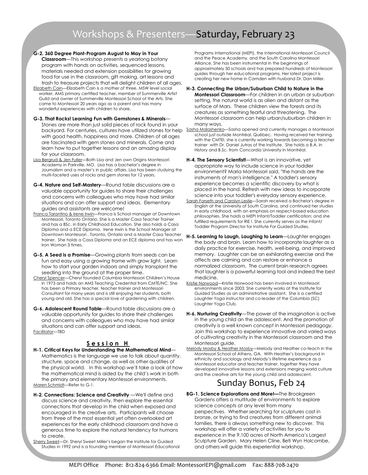## Workshops & Presenters—Saturday, February 23

G-2. 360 Degree Plant-Program August to May in Your

**Classroom**—This workshop presents a yearlong botany program with hands on activities, sequenced lessons, materials needed and extension possibilities for growing food for use in the classroom, gift making, art lessons and trash to treasure projects that will delight children of all ages.

- Elizabeth Cain—Elizabeth Cain is a mother of three, MSW level social worker, AMS primary certified teacher, member of Summerville Artist Guild and owner of Summerville Montessori School of the Arts. She came to Montessori 20 years ago as a parent and has many wonderful experiences with children to share.
- G-3. That Rocks! Learning Fun with Gemstones & Minerals— Stones are more than just solid pieces of rock found in your with good health, happiness and more. Children of all ages are fascinated with gem stones and minerals. Come and learn how to put together lessons and an amazing display for your classroom.
- Lisa Bergrud & Jen Fuller—Both Lisa and Jen own Origins Montessori Academy in Parkville, MO. Lisa has a bachelor's degree in Journalism and a master's in public affairs. Lisa has been studying the multi-faceted uses of rocks and gem stones for 12 years.
- G-4. Nature and Self-Mastery—Round table discussions are a valuable opportunity for guides to share their challenges and concerns with colleagues who may have had similar situations and can offer support and ideas. Elementary guides and assistants are welcome!
- Franca Tarantino & Irene Irwin-Franca is School manager at Downtown Montessori, Toronto Ontario. She is a Master Casa Teacher Trainer and has a BSc. in Early Childhood Education. She also holds a Casa Diploma and a ECE Diploma. Irene Irwin is the School Manager at Downtown Montessori , Toronto, Ontario and a Master Casa Teacher trainer. She holds a Casa Diploma and an ECE diploma and has won Iron Woman 3 times.
- G-5. A Seed is a Promise—Growing plants from seeds can be fun and easy using a growing frame with grow light. Learn how to start your garden indoors and simply transplant the seedling into the ground at the proper time.
- Cheryl Spencer—Cheryl founded Columbia Montessori Children's House in 1973 and holds an AMS Teaching Credential from CMTE/NC. She has been a Primary teacher, teacher trainer and Montessori Consultant for many years and is still enjoying her students, both young and old. She has a special love of gardening with children.
- G-6. Adolescent Round Table—Round table discussions are a valuable opportunity for guides to share their challenges and concerns with colleagues who may have had similar situations and can offer support and ideas. Facilitator—TBD

#### Session H

- H-1. Critical Keys for Understanding the Mathematical Mind— Mathematics is the language we use to talk about quantity, structure, space and change, as well as other qualities of the physical world. In this workshop we'll take a look at how the mathematical mind is aided by the child's work in both the primary and elementary Montessori environments. Maren Schmidt—Refer to G-1.
- H-2. Connections: Science and Creativity —We'll define and discuss science and creativity, then explore the essential connections that develop in the child when exposed and encouraged in the creative arts. Participants will choose from three of the most essential yet often overlooked art experiences for the early childhood classroom and have a generous time to explore the natural tendency for humans to create.
- Sherry Sweet—Dr. Sheryl Sweet Miller's began the Institute for Guided Studies in 1992 and is a founding member of Montessori Educational

Programs International (MEPI), the International Montessori Council and the Peace Academy, and the South Carolina Montessori Alliance. She has been instrumental in the beginnings of approximately 50 schools and has prepared hundreds of Montessori guides through her educational programs. Her latest project is creating her new home in Camden with husband Dr. Dan Miller.

#### H-3. Connecting the Urban/Suburban Child to Nature in the Montessori Classroom-For children in an urban or suburban setting, the natural world is as alien and distant as the surface of Mars. These children view the forests and its creatures as something fearful and threatening. The Montessori classroom can help urban/suburban children in many ways.

- backyard. For centuries, cultures have utilized stones for help Sasha Malashenko—Sasha opened and currently manages a Montessori school just outside Montréal, Québec. Having received her training with the CMTEI, she is currently working towards becoming a teacher trainer with Dr. Daniel Jutras of the Institute. She holds a B.A. in History and B.Sc. from Concordia University in Montréal.
	- H-4. The Sensory Scientist!- What is an innovative, yet appropriate way to include science in your toddler environment? Maria Montessori said, "the hands are the instruments of man's intelligence." A toddler's sensory experience becomes a scientific discovery by what is placed in the hand. Refresh with new ideas to incorporate science into your toddler's everyday sensory experience.
	- Sarah Forseth and Carolyn Leslie—Sarah received a Bachelor's degree in English at the University of South Carolina, and continued her studies in early childhood, with an emphasis on respect-based education philosophies. She holds a MEPI Infant/Toddler certification; and she fulfilled requirements for RIE I. She currently serves as the Infant/ Toddler Program Director for Institute For Guided Studies.
	- H-5. Learning to Laugh, Laughing to Learn—Laughter engages the body and brain. Learn how to incorporate laughter as a daily practice for exercise, health, well-being, and improved memory. Laughter can be an exhilarating exercise and the affects are calming and can restore or enhance a normalized classroom. The current brain research agrees that laughter is a powerful learning tool and indeed the best medicine.
	- Kristie Norwood—Kristie Norwood has been involved in Montessori environments since 2003. She currently works at the Institute for Guided Studies as an administrative assistant. She is a certified Laughter Yoga instructor and co-leader of the Columbia (SC) Laughter Yoga Club.
	- H-6. Nurturing Creativity-The power of the imagination is active in the young child an the adolescent. And the promotion of creativity is a well known concept in Montessori pedagogy. Join this workshop to experience innovative and varied ways of cultivating creativity in the Montessori classroom and the Montessori guide.
	- Melody Mosby & Heather Mosby—Melody and Heather co-teach in the Montessori School of Athens, GA. With Heather's background in ethnicity and sociology and Melody's lifetime experience as a Montessori educator and teacher trainer, together they have developed innovative lessons and extensions merging world culture and the creative arts for the young child and adolescent.

### Sunday Bonus, Feb 24

BG-1. Science Explorations and More!-The Brookgreen Gardens offers a multitude of environments to explore science concepts at any level from many perspectives. Whether searching for sculptures cast in bronze, or trying to find creatures from different animal families, there is always something new to discover. This workshop will offer a variety of activities for you to experience in the 9,100 acres of North America's Largest Sculpture Garden. Mary Helen Cline, Beti Wyn Holcombe, and others will guide this experiential workshop.